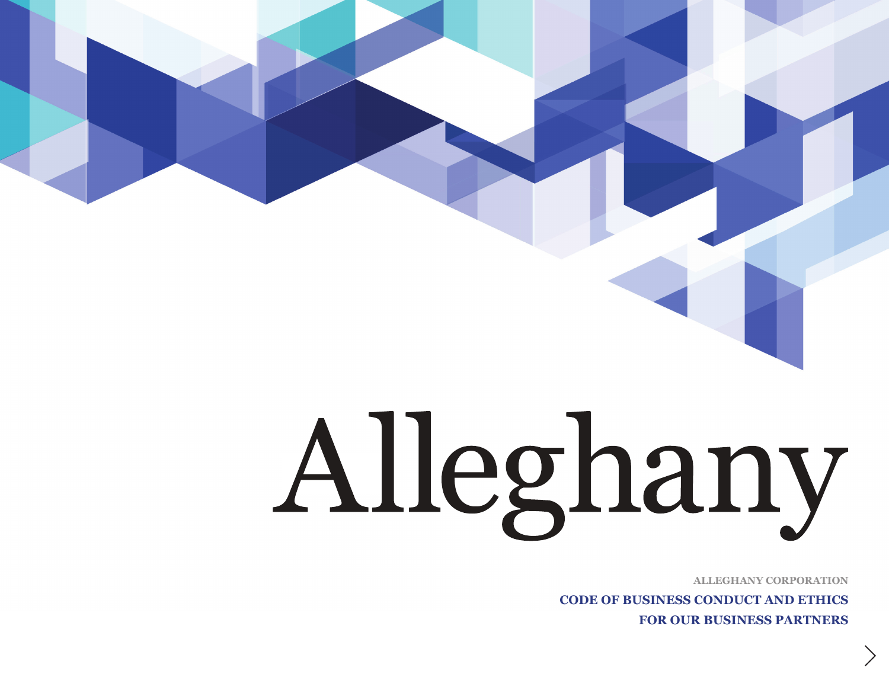# Alleghany

**ALLEGHANY CORPORATION**

**CODE OF BUSINESS CONDUCT AND ETHICS FOR OUR BUSINESS PARTNERS**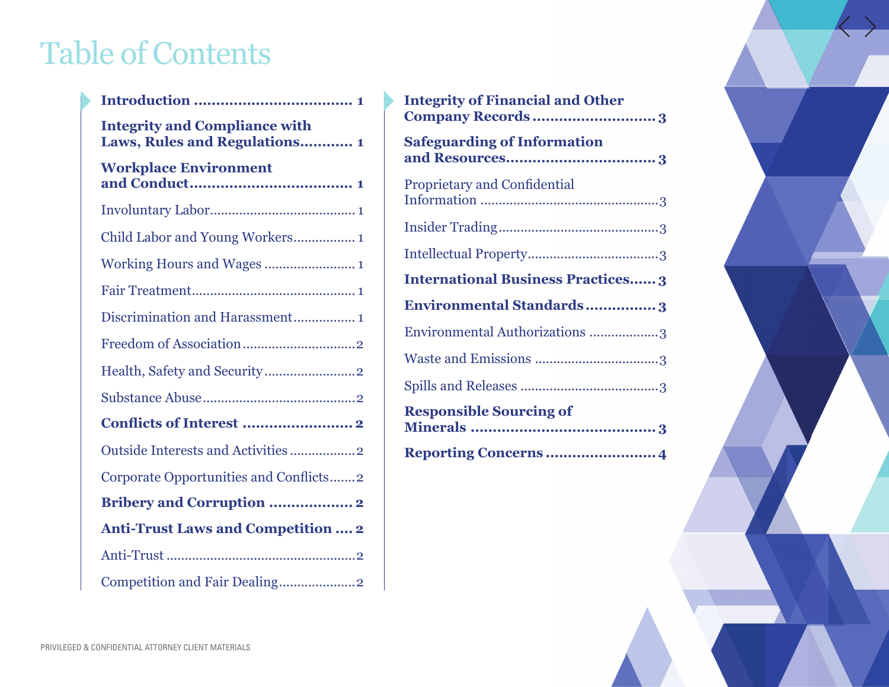# Table of Contents

| <b>Integrity and Compliance with</b><br>Laws, Rules and Regulations 1 |
|-----------------------------------------------------------------------|
| <b>Workplace Environment</b>                                          |
|                                                                       |
| Child Labor and Young Workers 1                                       |
|                                                                       |
|                                                                       |
| Discrimination and Harassment 1                                       |
|                                                                       |
|                                                                       |
|                                                                       |
|                                                                       |
| Outside Interests and Activities 2                                    |
| Corporate Opportunities and Conflicts2                                |
| <b>Bribery and Corruption  2</b>                                      |
| <b>Anti-Trust Laws and Competition  2</b>                             |
|                                                                       |
| Competition and Fair Dealing2                                         |

| <b>Integrity of Financial and Other</b><br>Company Records3 |
|-------------------------------------------------------------|
| <b>Safeguarding of Information</b>                          |
| <b>Proprietary and Confidential</b>                         |
|                                                             |
|                                                             |
| <b>International Business Practices 3</b>                   |
| <b>Environmental Standards3</b>                             |
| Environmental Authorizations 3                              |
|                                                             |
|                                                             |
| <b>Responsible Sourcing of</b>                              |
|                                                             |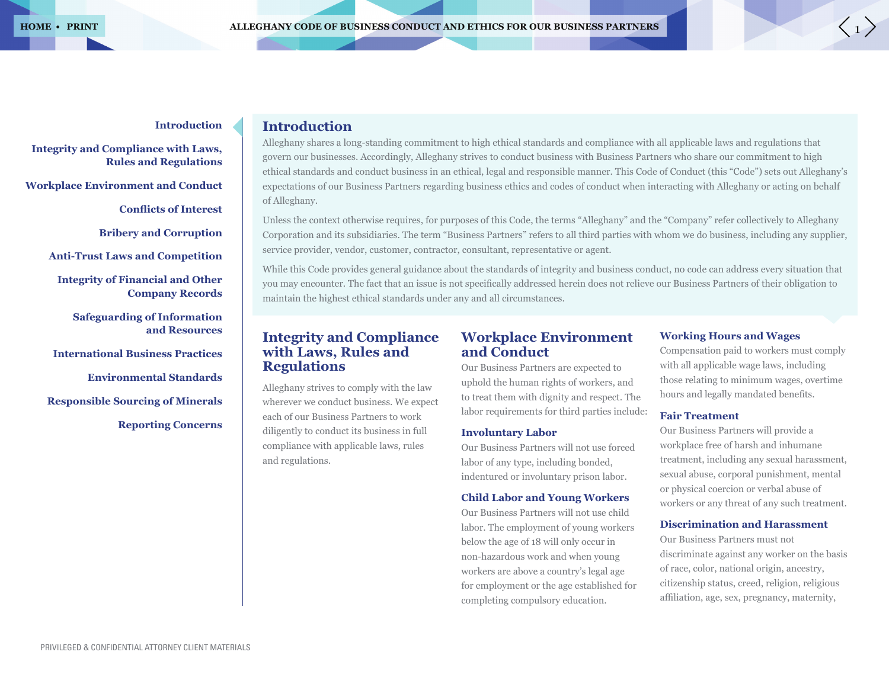### **Integrity and Compliance with Laws, Rules and Regulations**

**Workplace Environment and Conduct**

**Conflicts of Interest** 

**Bribery and Corruption**

**Anti-Trust Laws and Competition**

**Integrity of Financial and Other Company Records**

> **Safeguarding of Information and Resources**

**International Business Practices**

**Environmental Standards**

**Responsible Sourcing of Minerals**

**Reporting Concerns**

# **Introduction**

Alleghany shares a long-standing commitment to high ethical standards and compliance with all applicable laws and regulations that govern our businesses. Accordingly, Alleghany strives to conduct business with Business Partners who share our commitment to high ethical standards and conduct business in an ethical, legal and responsible manner. This Code of Conduct (this "Code") sets out Alleghany's expectations of our Business Partners regarding business ethics and codes of conduct when interacting with Alleghany or acting on behalf of Alleghany.

Unless the context otherwise requires, for purposes of this Code, the terms "Alleghany" and the "Company" refer collectively to Alleghany Corporation and its subsidiaries. The term "Business Partners" refers to all third parties with whom we do business, including any supplier, service provider, vendor, customer, contractor, consultant, representative or agent.

While this Code provides general guidance about the standards of integrity and business conduct, no code can address every situation that you may encounter. The fact that an issue is not specifically addressed herein does not relieve our Business Partners of their obligation to maintain the highest ethical standards under any and all circumstances.

# **Integrity and Compliance with Laws, Rules and Regulations**

Alleghany strives to comply with the law wherever we conduct business. We expect each of our Business Partners to work diligently to conduct its business in full compliance with applicable laws, rules and regulations.

# **Workplace Environment and Conduct**

Our Business Partners are expected to uphold the human rights of workers, and to treat them with dignity and respect. The labor requirements for third parties include:

#### **Involuntary Labor**

Our Business Partners will not use forced labor of any type, including bonded, indentured or involuntary prison labor.

### **Child Labor and Young Workers**

Our Business Partners will not use child labor. The employment of young workers below the age of 18 will only occur in non-hazardous work and when young workers are above a country's legal age for employment or the age established for completing compulsory education.

#### **Working Hours and Wages**

Compensation paid to workers must comply with all applicable wage laws, including those relating to minimum wages, overtime hours and legally mandated benefits.

#### **Fair Treatment**

Our Business Partners will provide a workplace free of harsh and inhumane treatment, including any sexual harassment, sexual abuse, corporal punishment, mental or physical coercion or verbal abuse of workers or any threat of any such treatment.

#### **Discrimination and Harassment**

Our Business Partners must not discriminate against any worker on the basis of race, color, national origin, ancestry, citizenship status, creed, religion, religious affiliation, age, sex, pregnancy, maternity,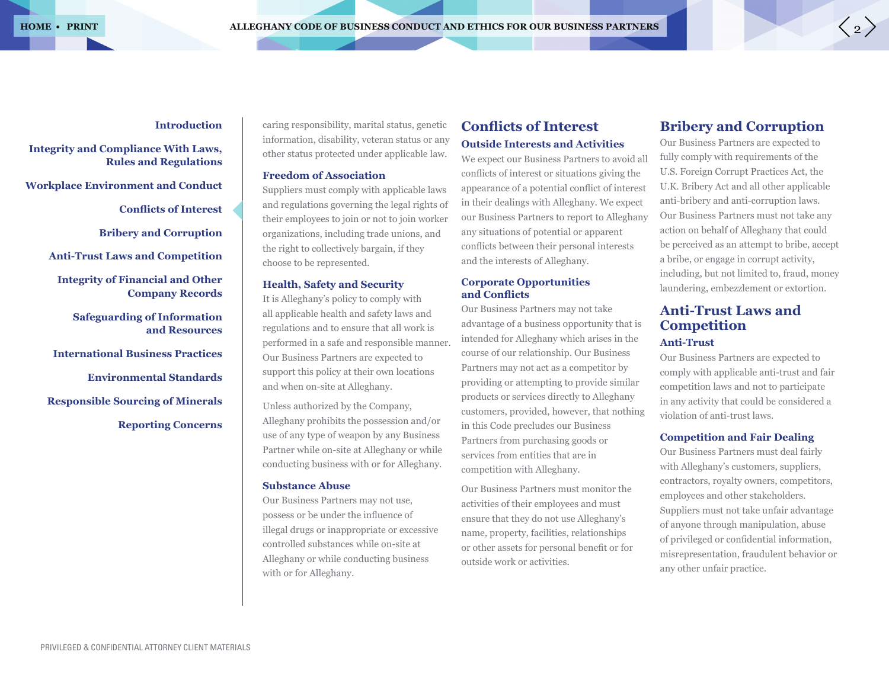# **Introduction**

# **Integrity and Compliance With Laws, Rules and Regulations**

**Workplace Environment and Conduct**

**Conflicts of Interest** 

**Bribery and Corruption**

**Anti-Trust Laws and Competition**

**Integrity of Financial and Other Company Records**

**Safeguarding of Information and Resources**

**International Business Practices**

**Environmental Standards**

**Responsible Sourcing of Minerals**

**Reporting Concerns**

caring responsibility, marital status, genetic information, disability, veteran status or any other status protected under applicable law.

#### **Freedom of Association**

Suppliers must comply with applicable laws and regulations governing the legal rights of their employees to join or not to join worker organizations, including trade unions, and the right to collectively bargain, if they choose to be represented.

# **Health, Safety and Security**

It is Alleghany's policy to comply with all applicable health and safety laws and regulations and to ensure that all work is performed in a safe and responsible manner. Our Business Partners are expected to support this policy at their own locations and when on-site at Alleghany.

Unless authorized by the Company, Alleghany prohibits the possession and/or use of any type of weapon by any Business Partner while on-site at Alleghany or while conducting business with or for Alleghany.

#### **Substance Abuse**

Our Business Partners may not use, possess or be under the influence of illegal drugs or inappropriate or excessive controlled substances while on-site at Alleghany or while conducting business with or for Alleghany.

# **Conflicts of Interest Outside Interests and Activities**

We expect our Business Partners to avoid all conflicts of interest or situations giving the appearance of a potential conflict of interest in their dealings with Alleghany. We expect our Business Partners to report to Alleghany any situations of potential or apparent conflicts between their personal interests and the interests of Alleghany.

#### **Corporate Opportunities**  and **Conflicts**

Our Business Partners may not take advantage of a business opportunity that is intended for Alleghany which arises in the course of our relationship. Our Business Partners may not act as a competitor by providing or attempting to provide similar products or services directly to Alleghany customers, provided, however, that nothing in this Code precludes our Business Partners from purchasing goods or services from entities that are in competition with Alleghany.

Our Business Partners must monitor the activities of their employees and must ensure that they do not use Alleghany's name, property, facilities, relationships or other assets for personal benefit or for outside work or activities.

# **Bribery and Corruption**

Our Business Partners are expected to fully comply with requirements of the U.S. Foreign Corrupt Practices Act, the U.K. Bribery Act and all other applicable anti-bribery and anti-corruption laws. Our Business Partners must not take any action on behalf of Alleghany that could be perceived as an attempt to bribe, accept a bribe, or engage in corrupt activity, including, but not limited to, fraud, money laundering, embezzlement or extortion.

# **Anti-Trust Laws and Competition**

# **Anti-Trust**

Our Business Partners are expected to comply with applicable anti-trust and fair competition laws and not to participate in any activity that could be considered a violation of anti-trust laws.

#### **Competition and Fair Dealing**

Our Business Partners must deal fairly with Alleghany's customers, suppliers, contractors, royalty owners, competitors, employees and other stakeholders. Suppliers must not take unfair advantage of anyone through manipulation, abuse of privileged or confidential information, misrepresentation, fraudulent behavior or any other unfair practice.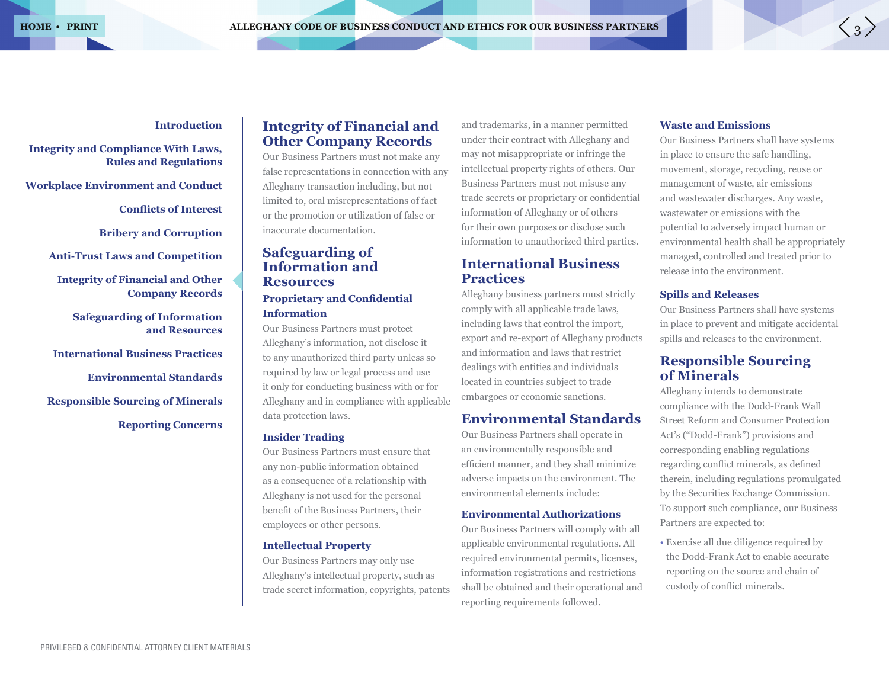# **Introduction**

**Integrity and Compliance With Laws, Rules and Regulations**

**Workplace Environment and Conduct**

**Conflicts of Interest** 

**Bribery and Corruption**

**Anti-Trust Laws and Competition**

**Integrity of Financial and Other Company Records**

**Safeguarding of Information and Resources**

**International Business Practices**

**Environmental Standards**

**Responsible Sourcing of Minerals**

**Reporting Concerns**

# **Integrity of Financial and Other Company Records**

Our Business Partners must not make any false representations in connection with any Alleghany transaction including, but not limited to, oral misrepresentations of fact or the promotion or utilization of false or inaccurate documentation.

# **Safeguarding of Information and Resources**

# **Proprietary and Confidential Information**

Our Business Partners must protect Alleghany's information, not disclose it to any unauthorized third party unless so required by law or legal process and use it only for conducting business with or for Alleghany and in compliance with applicable data protection laws.

#### **Insider Trading**

Our Business Partners must ensure that any non-public information obtained as a consequence of a relationship with Alleghany is not used for the personal benefit of the Business Partners, their employees or other persons.

#### **Intellectual Property**

Our Business Partners may only use Alleghany's intellectual property, such as trade secret information, copyrights, patents

and trademarks, in a manner permitted under their contract with Alleghany and may not misappropriate or infringe the intellectual property rights of others. Our Business Partners must not misuse any trade secrets or proprietary or confidential information of Alleghany or of others for their own purposes or disclose such information to unauthorized third parties.

# **International Business Practices**

Alleghany business partners must strictly comply with all applicable trade laws, including laws that control the import, export and re-export of Alleghany products and information and laws that restrict dealings with entities and individuals located in countries subject to trade embargoes or economic sanctions.

# **Environmental Standards**

Our Business Partners shall operate in an environmentally responsible and efficient manner, and they shall minimize adverse impacts on the environment. The environmental elements include:

#### **Environmental Authorizations**

Our Business Partners will comply with all applicable environmental regulations. All required environmental permits, licenses, information registrations and restrictions shall be obtained and their operational and reporting requirements followed.

#### **Waste and Emissions**

Our Business Partners shall have systems in place to ensure the safe handling, movement, storage, recycling, reuse or management of waste, air emissions and wastewater discharges. Any waste, wastewater or emissions with the potential to adversely impact human or environmental health shall be appropriately managed, controlled and treated prior to release into the environment.

#### **Spills and Releases**

Our Business Partners shall have systems in place to prevent and mitigate accidental spills and releases to the environment.

# **Responsible Sourcing of Minerals**

Alleghany intends to demonstrate compliance with the Dodd-Frank Wall Street Reform and Consumer Protection Act's ("Dodd-Frank") provisions and corresponding enabling regulations regarding conflict minerals, as defined therein, including regulations promulgated by the Securities Exchange Commission. To support such compliance, our Business Partners are expected to:

• Exercise all due diligence required by the Dodd-Frank Act to enable accurate reporting on the source and chain of custody of conflict minerals.